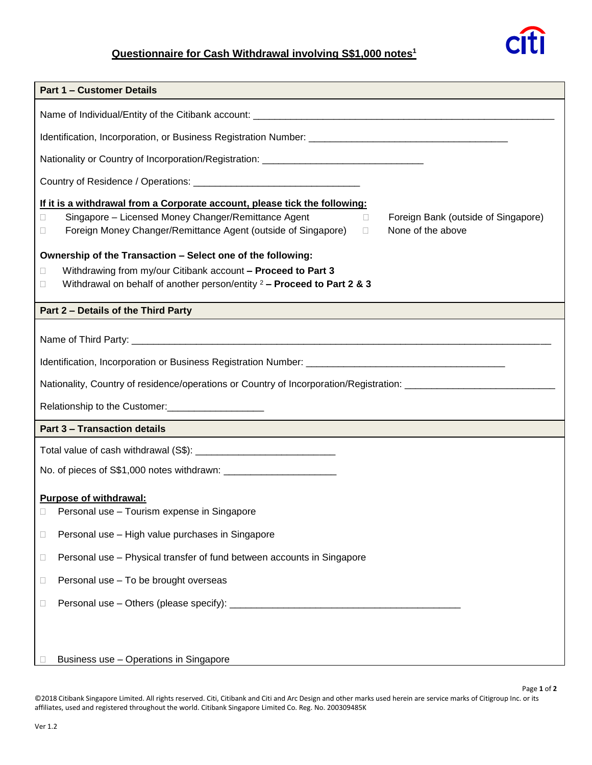## **Questionnaire for Cash Withdrawal involving S\$1,000 notes<sup>1</sup>**



| <b>Part 1 - Customer Details</b>                                                                                                                                                                                                                                                                                                                                                                                                                                                                                   |  |  |  |
|--------------------------------------------------------------------------------------------------------------------------------------------------------------------------------------------------------------------------------------------------------------------------------------------------------------------------------------------------------------------------------------------------------------------------------------------------------------------------------------------------------------------|--|--|--|
|                                                                                                                                                                                                                                                                                                                                                                                                                                                                                                                    |  |  |  |
|                                                                                                                                                                                                                                                                                                                                                                                                                                                                                                                    |  |  |  |
| Nationality or Country of Incorporation/Registration: __________________________                                                                                                                                                                                                                                                                                                                                                                                                                                   |  |  |  |
|                                                                                                                                                                                                                                                                                                                                                                                                                                                                                                                    |  |  |  |
| If it is a withdrawal from a Corporate account, please tick the following:<br>Singapore - Licensed Money Changer/Remittance Agent<br>Foreign Bank (outside of Singapore)<br>$\Box$<br>0<br>Foreign Money Changer/Remittance Agent (outside of Singapore)<br>None of the above<br>0<br>$\Box$<br>Ownership of the Transaction - Select one of the following:<br>Withdrawing from my/our Citibank account - Proceed to Part 3<br>□<br>Withdrawal on behalf of another person/entity $2 -$ Proceed to Part 2 & 3<br>П |  |  |  |
| Part 2 - Details of the Third Party                                                                                                                                                                                                                                                                                                                                                                                                                                                                                |  |  |  |
| Nationality, Country of residence/operations or Country of Incorporation/Registration: _______________________<br>Relationship to the Customer:<br><u>[</u> [11][12] Details and the Customer:<br>[12] Details and the Customer:                                                                                                                                                                                                                                                                                   |  |  |  |
| <b>Part 3 - Transaction details</b>                                                                                                                                                                                                                                                                                                                                                                                                                                                                                |  |  |  |
|                                                                                                                                                                                                                                                                                                                                                                                                                                                                                                                    |  |  |  |
| <b>Purpose of withdrawal:</b><br>Personal use - Tourism expense in Singapore<br>$\Box$                                                                                                                                                                                                                                                                                                                                                                                                                             |  |  |  |
| Personal use - High value purchases in Singapore<br>□                                                                                                                                                                                                                                                                                                                                                                                                                                                              |  |  |  |
| Personal use - Physical transfer of fund between accounts in Singapore<br>$\Box$                                                                                                                                                                                                                                                                                                                                                                                                                                   |  |  |  |
| Personal use - To be brought overseas<br>□                                                                                                                                                                                                                                                                                                                                                                                                                                                                         |  |  |  |
| □                                                                                                                                                                                                                                                                                                                                                                                                                                                                                                                  |  |  |  |
| Business use - Operations in Singapore                                                                                                                                                                                                                                                                                                                                                                                                                                                                             |  |  |  |

©2018 Citibank Singapore Limited. All rights reserved. Citi, Citibank and Citi and Arc Design and other marks used herein are service marks of Citigroup Inc. or its affiliates, used and registered throughout the world. Citibank Singapore Limited Co. Reg. No. 200309485K

Page **1** of **2**